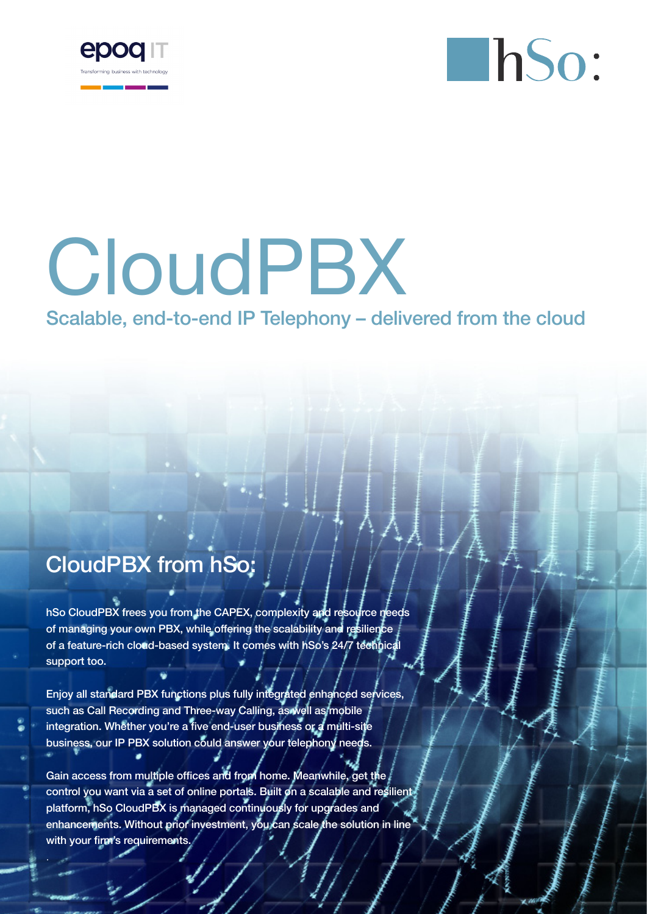



# CloudPBX

## Scalable, end-to-end IP Telephony – delivered from the cloud

# CloudPBX from hSo:

hSo CloudPBX frees you from the CAPEX, complexity and resource needs of managing your own PBX, while offering the scalability and resilience of a feature-rich cloud-based system. It comes with hSo's 24/7 technical support too.

Enjoy all standard PBX functions plus fully integrated enhanced services, such as Call Recording and Three-way Calling, as well as mobile integration. Whether you're a five end-user business or a multi-site business, our IP PBX solution could answer your telephony needs.

Gain access from multiple offices and from home. Meanwhile, get the control you want via a set of online portals. Built on a scalable and resilient. platform, hSo CloudPBX is managed continuously for upgrades and enhancements. Without prior investment, you can scale the solution in line with your firm's requirements.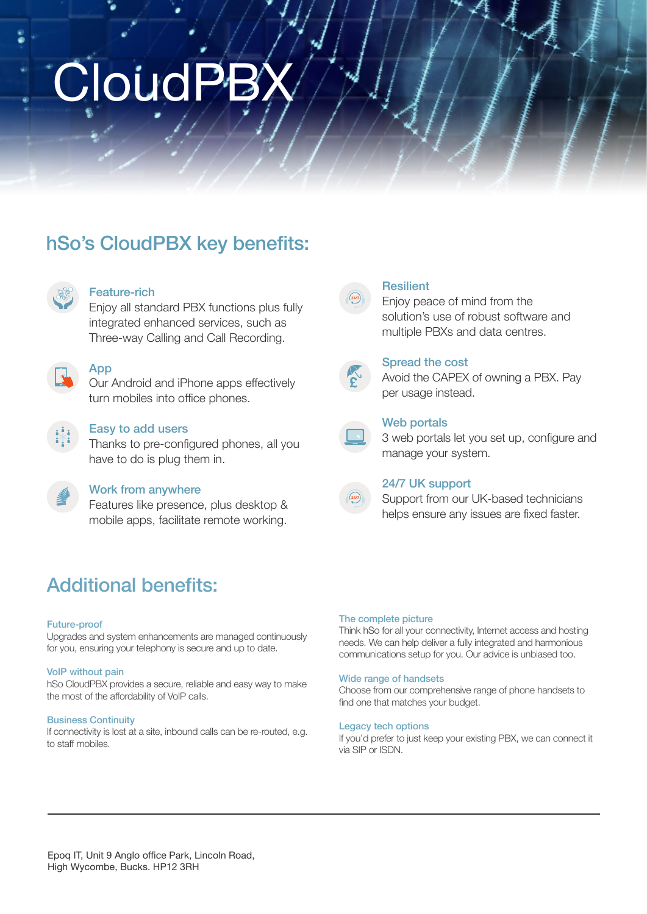# **CloudPB**

# hSo's CloudPBX key benefits:



#### Feature-rich

Enjoy all standard PBX functions plus fully integrated enhanced services, such as Three-way Calling and Call Recording.



## **App**

Our Android and iPhone apps effectively turn mobiles into office phones.



#### Easy to add users

Thanks to pre-configured phones, all you have to do is plug them in.



#### Work from anywhere

Features like presence, plus desktop & mobile apps, facilitate remote working.

## Additional benefits:

#### Future-proof

Upgrades and system enhancements are managed continuously for you, ensuring your telephony is secure and up to date.

#### VoIP without pain

hSo CloudPBX provides a secure, reliable and easy way to make the most of the affordability of VoIP calls.

#### Business Continuity

If connectivity is lost at a site, inbound calls can be re-routed, e.g. to staff mobiles.



#### **Resilient**

Enjoy peace of mind from the solution's use of robust software and multiple PBXs and data centres.



#### Spread the cost

Avoid the CAPEX of owning a PBX. Pay per usage instead.



#### Web portals

3 web portals let you set up, configure and manage your system.



#### 24/7 UK support

Support from our UK-based technicians helps ensure any issues are fixed faster.

#### The complete picture

Think hSo for all your connectivity, Internet access and hosting needs. We can help deliver a fully integrated and harmonious communications setup for you. Our advice is unbiased too.

#### Wide range of handsets

Choose from our comprehensive range of phone handsets to find one that matches your budget.

#### Legacy tech options

If you'd prefer to just keep your existing PBX, we can connect it via SIP or ISDN.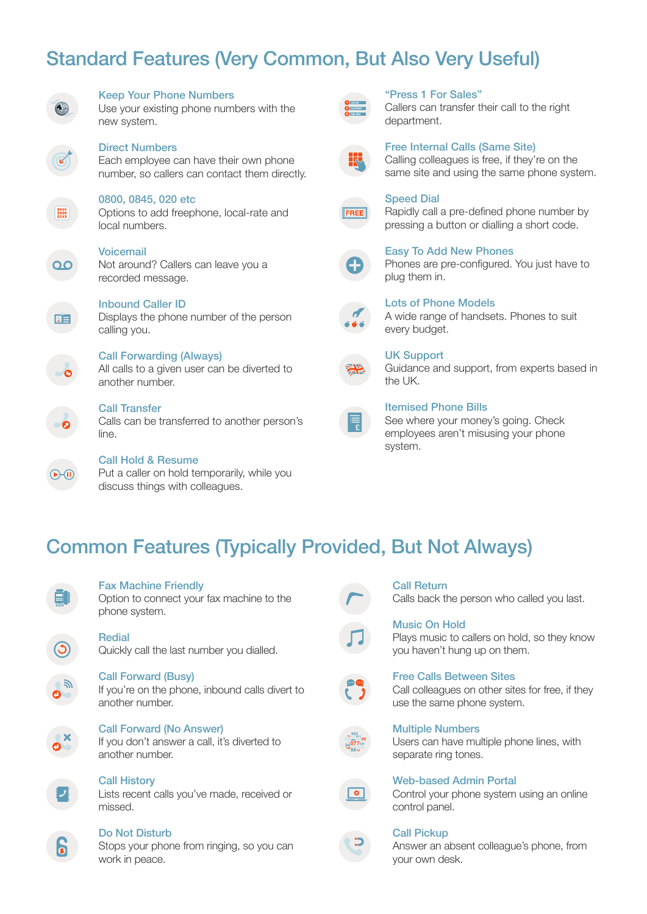## Standard Features (Very Common, But Also Very Useful)



 $0845$ <br> $0800$ <br> $038X$ 

 $\overline{O}$ 

#### Keep Your Phone Numbers

Use your existing phone numbers with the new system.

Direct Numbers Each employee can have their own phone number, so callers can contact them directly.

#### 0800, 0845, 020 etc

Options to add freephone, local-rate and local numbers.

#### Voicemail

Not around? Callers can leave you a recorded message.



## Inbound Caller ID

Displays the phone number of the person calling you.

Call Forwarding (Always) All calls to a given user can be diverted to another number.

#### Call Transfer

Calls can be transferred to another person's line.

Call Hold & Resume Put a caller on hold temporarily, while you discuss things with colleagues.



#### "Press 1 For Sales"

Callers can transfer their call to the right department.



#### Free Internal Calls (Same Site)

Calling colleagues is free, if they're on the same site and using the same phone system.



#### Speed Dial

Rapidly call a pre-defined phone number by pressing a button or dialling a short code.



#### Easy To Add New Phones

Phones are pre-configured. You just have to plug them in.



#### Lots of Phone Models

A wide range of handsets. Phones to suit every budget.



#### UK Support

Guidance and support, from experts based in the UK.



#### Itemised Phone Bills

See where your money's going. Check employees aren't misusing your phone system.

## Common Features (Typically Provided, But Not Always)



 $\bigoplus\{0\}$ 

#### Fax Machine Friendly

Option to connect your fax machine to the phone system.

#### Redial

Quickly call the last number you dialled.

#### Call Forward (Busy)

If you're on the phone, inbound calls divert to another number.

Call Forward (No Answer) If you don't answer a call, it's diverted to another number.

Call History Lists recent calls you've made, received or

missed.

#### Do Not Disturb

Stops your phone from ringing, so you can work in peace.



#### Call Return

Calls back the person who called you last.

#### Music On Hold

Plays music to callers on hold, so they know you haven't hung up on them.

#### Free Calls Between Sites

Call colleagues on other sites for free, if they use the same phone system.

#### Multiple Numbers

Users can have multiple phone lines, with separate ring tones.



#### Web-based Admin Portal

Control your phone system using an online control panel.

#### Call Pickup

Answer an absent colleague's phone, from your own desk.

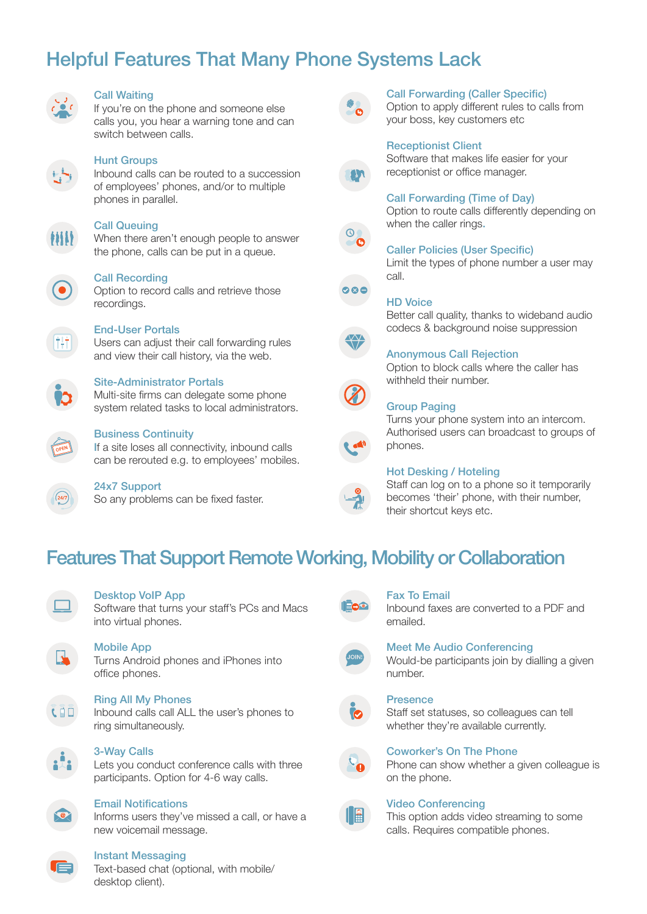# Helpful Features That Many Phone Systems Lack



#### Call Waiting

If you're on the phone and someone else calls you, you hear a warning tone and can switch between calls.



### Hunt Groups

Inbound calls can be routed to a succession of employees' phones, and/or to multiple phones in parallel.



#### Call Queuing

When there aren't enough people to answer the phone, calls can be put in a queue.



#### Call Recording

Option to record calls and retrieve those recordings.



#### End-User Portals

Users can adjust their call forwarding rules and view their call history, via the web.

#### Site-Administrator Portals

Multi-site firms can delegate some phone system related tasks to local administrators.



#### Business Continuity

If a site loses all connectivity, inbound calls can be rerouted e.g. to employees' mobiles.



### 24x7 Support

So any problems can be fixed faster.



#### Call Forwarding (Caller Specific)

Option to apply different rules to calls from your boss, key customers etc







 $\circ \circ \circ$ 

when the caller rings.

Call Forwarding (Time of Day)

Caller Policies (User Specific) Limit the types of phone number a user may call.

Option to route calls differently depending on

#### HD Voice

Better call quality, thanks to wideband audio codecs & background noise suppression

#### Anonymous Call Rejection

Option to block calls where the caller has withheld their number.

#### Group Paging

Turns your phone system into an intercom. Authorised users can broadcast to groups of phones.

#### Hot Desking / Hoteling

Staff can log on to a phone so it temporarily becomes 'their' phone, with their number, their shortcut keys etc.

## Features That Support Remote Working, Mobility or Collaboration



#### Desktop VoIP App

Software that turns your staff's PCs and Macs into virtual phones.

#### Mobile App

Turns Android phones and iPhones into office phones.

#### Ring All My Phones

Inbound calls call ALL the user's phones to ring simultaneously.



#### 3-Way Calls

Lets you conduct conference calls with three participants. Option for 4-6 way calls.



#### Email Notifications

Informs users they've missed a call, or have a new voicemail message.

#### Instant Messaging

Text-based chat (optional, with mobile/ desktop client).



#### Fax To Email

Inbound faxes are converted to a PDF and emailed.

#### Meet Me Audio Conferencing

Would-be participants join by dialling a given number.

#### Presence

Staff set statuses, so colleagues can tell whether they're available currently.



Phone can show whether a given colleague is on the phone.



#### Video Conferencing

This option adds video streaming to some calls. Requires compatible phones.







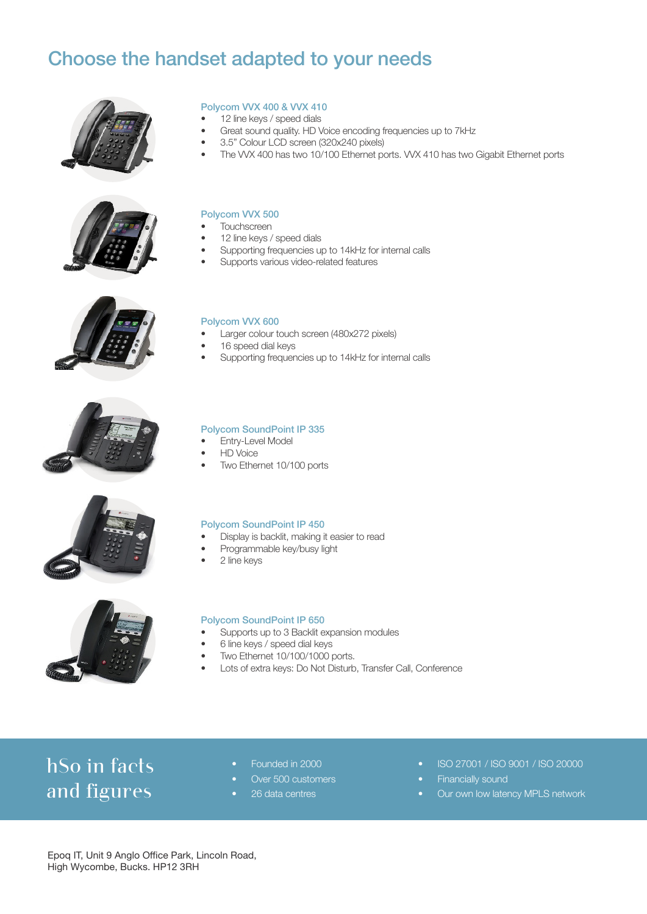## Choose the handset adapted to your needs













Polycom VVX 400 & VVX 410

- Great sound quality. HD Voice encoding frequencies up to 7kHz
- 3.5" Colour LCD screen (320x240 pixels)
- The VVX 400 has two 10/100 Ethernet ports. VVX 410 has two Gigabit Ethernet ports

#### Polycom VVX 500

- **Touchscreen**
- 12 line keys / speed dials
- Supporting frequencies up to 14kHz for internal calls
- Supports various video-related features

#### Polycom VVX 600

- Larger colour touch screen (480x272 pixels)
- 16 speed dial keys
- Supporting frequencies up to 14kHz for internal calls

#### Polycom SoundPoint IP 335

- **Entry-Level Model**
- HD Voice
- Two Ethernet 10/100 ports

#### Polycom SoundPoint IP 450

- Display is backlit, making it easier to read
- Programmable key/busy light
- 2 line keys



#### Polycom SoundPoint IP 650

- Supports up to 3 Backlit expansion modules
- 6 line keys / speed dial keys
- Two Ethernet 10/100/1000 ports.
- Lots of extra keys: Do Not Disturb, Transfer Call, Conference

# hSo in facts and figures

- Founded in 2000
- Over 500 customers
- 26 data centres
- ISO 27001 / ISO 9001 / ISO 20000
- Financially sound
- Our own low latency MPLS network

Epoq IT, Unit 9 Anglo Office Park, Lincoln Road, High Wycombe, Bucks. HP12 3RH